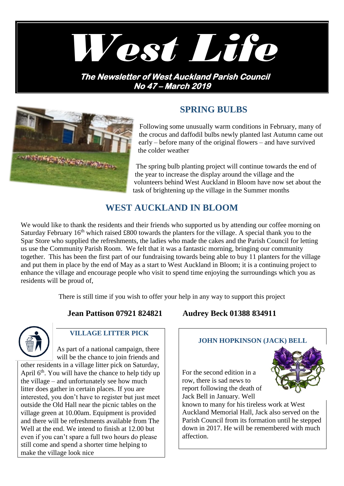

**No 47 – March 2019** 



# **SPRING BULBS**

Following some unusually warm conditions in February, many of the crocus and daffodil bulbs newly planted last Autumn came out early – before many of the original flowers – and have survived the colder weather

The spring bulb planting project will continue towards the end of the year to increase the display around the village and the volunteers behind West Auckland in Bloom have now set about the task of brightening up the village in the Summer months

## **WEST AUCKLAND IN BLOOM**

We would like to thank the residents and their friends who supported us by attending our coffee morning on Saturday February  $16<sup>th</sup>$  which raised £800 towards the planters for the village. A special thank you to the Spar Store who supplied the refreshments, the ladies who made the cakes and the Parish Council for letting us use the Community Parish Room. We felt that it was a fantastic morning, bringing our community together. This has been the first part of our fundraising towards being able to buy 11 planters for the village and put them in place by the end of May as a start to West Auckland in Bloom; it is a continuing project to enhance the village and encourage people who visit to spend time enjoying the surroundings which you as residents will be proud of,

There is still time if you wish to offer your help in any way to support this project



### **VILLAGE LITTER PICK**

As part of a national campaign, there will be the chance to join friends and other residents in a village litter pick on Saturday, April  $6<sup>th</sup>$ . You will have the chance to help tidy up the village – and unfortunately see how much litter does gather in certain places. If you are interested, you don't have to register but just meet outside the Old Hall near the picnic tables on the village green at 10.00am. Equipment is provided and there will be refreshments available from The Well at the end. We intend to finish at 12.00 but even if you can't spare a full two hours do please still come and spend a shorter time helping to make the village look nice

### **Jean Pattison 07921 824821 Audrey Beck 01388 834911**

#### **JOHN HOPKINSON (JACK) BELL**

For the second edition in a row, there is sad news to report following the death of Jack Bell in January. Well



known to many for his tireless work at West Auckland Memorial Hall, Jack also served on the Parish Council from its formation until he stepped down in 2017. He will be remembered with much affection.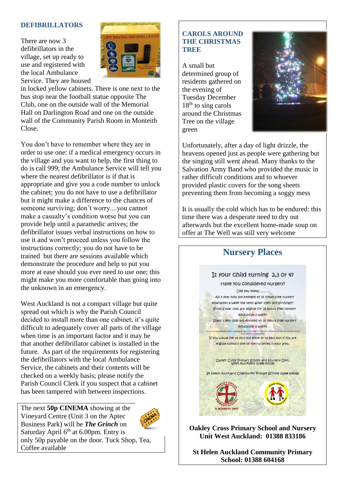#### **DEFIBRILLATORS**

There are now 3 defibrillators in the village, set up ready to use and registered with the local Ambulance Service. They are housed



in locked yellow cabinets. There is one next to the bus stop near the football statue opposite The Club, one on the outside wall of the Memorial Hall on Darlington Road and one on the outside wall of the Community Parish Room in Monteith Close.

You don't have to remember where they are in order to use one: if a medical emergency occurs in the village and you want to help, the first thing to do is call 999; the Ambulance Service will tell you where the nearest defibrillator is if that is appropriate and give you a code number to unlock the cabinet; you do not have to use a defibrillator but it might make a difference to the chances of someone surviving; don't worry....you cannot make a casualty's condition worse but you can provide help until a paramedic arrives; the defibrillator issues verbal instructions on how to use it and won't proceed unless you follow the instructions correctly; you do not have to be trained but there are sessions available which demonstrate the procedure and help to put you more at ease should you ever need to use one; this might make you more comfortable than going into the unknown in an emergency.

West Auckland is not a compact village but quite spread out which is why the Parish Council decided to install more than one cabinet; it's quite difficult to adequately cover all parts of the village when time is an important factor and it may be that another defibrillator cabinet is installed in the future. As part of the requirements for registering the defibrillators with the local Ambulance Service, the cabinets and their contents will be checked on a weekly basis; please notify the Parish Council Clerk if you suspect that a cabinet has been tampered with between inspections.

The next **50p CINEMA** showing at the Vineyard Centre (Unit 3 on the Aptec Business Park) will be *The Grinch* on Saturday April  $6<sup>th</sup>$  at 6.00pm. Entry is only 50p payable on the door. Tuck Shop, Tea, Coffee available



A small but determined group of residents gathered on the evening of Tuesday December  $18<sup>th</sup>$  to sing carols around the Christmas Tree on the village green



Unfortunately, after a day of light drizzle, the heavens opened just as people were gathering but the singing still went ahead. Many thanks to the Salvation Army Band who provided the music in rather difficult conditions and to whoever provided plastic covers for the song sheets preventing them from becoming a soggy mess

It is usually the cold which has to be endured: this time there was a desperate need to dry out afterwards but the excellent home-made soup on offer at The Well was still very welcome

# **Nursery Places** Is your child turning 2,3 or 4? Have you considered nursery? Did you know . All 3 year olds are entitled to 25 hours free nursery education a week the term after their ard birthday?\* Some 2 year olds are eligible for 15 hours free nursery education a week? Some 3 year olds are entitled to 30 hours free nursery education a week? If you would like to find out more or to find out if you are eligible contact one of the nurseries in your area. Oakley Cross Primary School and Nursery Unit,<br>West Auckland 01388 833186 St Helen Auckland Community Primary School 01388 604168

**Oakley Cross Primary School and Nursery Unit West Auckland: 01388 833186**

**St Helen Auckland Community Primary School: 01388 604168**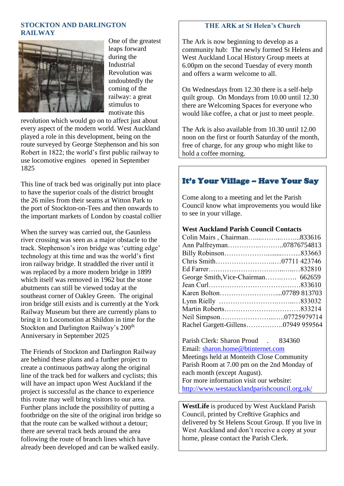#### **STOCKTON AND DARLINGTON RAILWAY**



One of the greatest leaps forward during the Industrial Revolution was undoubtedly the coming of the railway: a great stimulus to motivate this

revolution which would go on to affect just about every aspect of the modern world. West Auckland played a role in this development, being on the route surveyed by George Stephenson and his son Robert in 1822; the world's first public railway to use locomotive engines opened in September 1825

This line of track bed was originally put into place to have the superior coals of the district brought the 26 miles from their seams at Witton Park to the port of Stockton-on-Tees and then onwards to the important markets of London by coastal collier

When the survey was carried out, the Gaunless river crossing was seen as a major obstacle to the track. Stephenson's iron bridge was 'cutting edge' technology at this time and was the world's first iron railway bridge. It straddled the river until it was replaced by a more modern bridge in 1899 which itself was removed in 1962 but the stone abutments can still be viewed today at the southeast corner of Oakley Green. The original iron bridge still exists and is currently at the York Railway Museum but there are currently plans to bring it to Locomotion at Shildon in time for the Stockton and Darlington Railway's 200<sup>th</sup> Anniversary in September 2025

The Friends of Stockton and Darlington Railway are behind these plans and a further project to create a continuous pathway along the original line of the track bed for walkers and cyclists; this will have an impact upon West Auckland if the project is successful as the chance to experience this route may well bring visitors to our area. Further plans include the possibility of putting a footbridge on the site of the original iron bridge so that the route can be walked without a detour; there are several track beds around the area following the route of branch lines which have already been developed and can be walked easily.

#### **THE ARK at St Helen's Church**

The Ark is now beginning to develop as a community hub: The newly formed St Helens and West Auckland Local History Group meets at 6.00pm on the second Tuesday of every month and offers a warm welcome to all.

On Wednesdays from 12.30 there is a self-help quilt group. On Mondays from 10.00 until 12.30 there are Welcoming Spaces for everyone who would like coffee, a chat or just to meet people.

The Ark is also available from 10.30 until 12.00 noon on the first or fourth Saturday of the month, free of charge, for any group who might like to hold a coffee morning.

### It's Your Village – Have Your Say

Come along to a meeting and let the Parish Council know what improvements you would like to see in your village.

#### **West Auckland Parish Council Contacts**

| Colin Mairs, Chairman833616        |
|------------------------------------|
| Ann Palfreyman07876754813          |
|                                    |
|                                    |
|                                    |
|                                    |
|                                    |
|                                    |
|                                    |
|                                    |
|                                    |
| Rachel Gargett-Gillens07949 959564 |
|                                    |

Parish Clerk: Sharon Proud . 834360 Email: [sharon.home@btinternet.com](mailto:sharon.home@btinternet.com) Meetings held at Monteith Close Community Parish Room at 7.00 pm on the 2nd Monday of each month (except August). For more information visit our website: <http://www.westaucklandparishcouncil.org.uk/>

**WestLife** is produced by West Auckland Parish Council, printed by Cre8tive Graphics and delivered by St Helens Scout Group. If you live in West Auckland and don't receive a copy at your home, please contact the Parish Clerk.